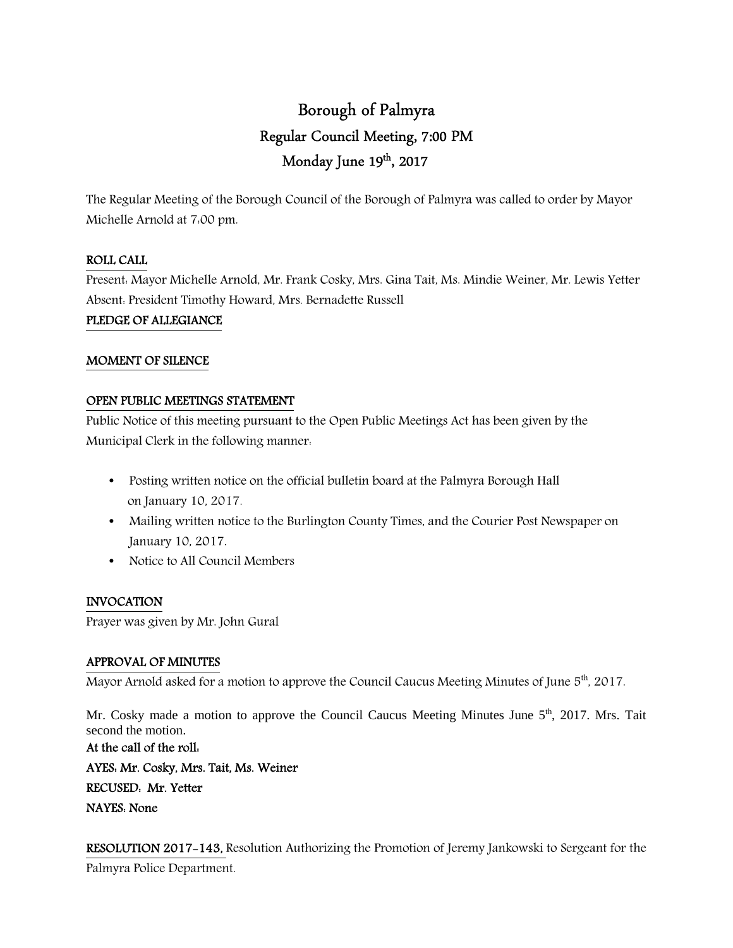# Borough of Palmyra Regular Council Meeting, 7:00 PM Monday June 19th, 2017

The Regular Meeting of the Borough Council of the Borough of Palmyra was called to order by Mayor Michelle Arnold at 7:00 pm.

## ROLL CALL

Present: Mayor Michelle Arnold, Mr. Frank Cosky, Mrs. Gina Tait, Ms. Mindie Weiner, Mr. Lewis Yetter Absent: President Timothy Howard, Mrs. Bernadette Russell PLEDGE OF ALLEGIANCE

## MOMENT OF SILENCE

## OPEN PUBLIC MEETINGS STATEMENT

Public Notice of this meeting pursuant to the Open Public Meetings Act has been given by the Municipal Clerk in the following manner:

- Posting written notice on the official bulletin board at the Palmyra Borough Hall on January 10, 2017.
- Mailing written notice to the Burlington County Times, and the Courier Post Newspaper on January 10, 2017.
- Notice to All Council Members

## INVOCATION

Prayer was given by Mr. John Gural

## APPROVAL OF MINUTES

Mayor Arnold asked for a motion to approve the Council Caucus Meeting Minutes of June 5<sup>th</sup>, 2017.

Mr. Cosky made a motion to approve the Council Caucus Meeting Minutes June 5<sup>th</sup>, 2017. Mrs. Tait second the motion.

At the call of the roll: AYES: Mr. Cosky, Mrs. Tait, Ms. Weiner RECUSED: Mr. Yetter NAYES: None

RESOLUTION 2017-143, Resolution Authorizing the Promotion of Jeremy Jankowski to Sergeant for the Palmyra Police Department.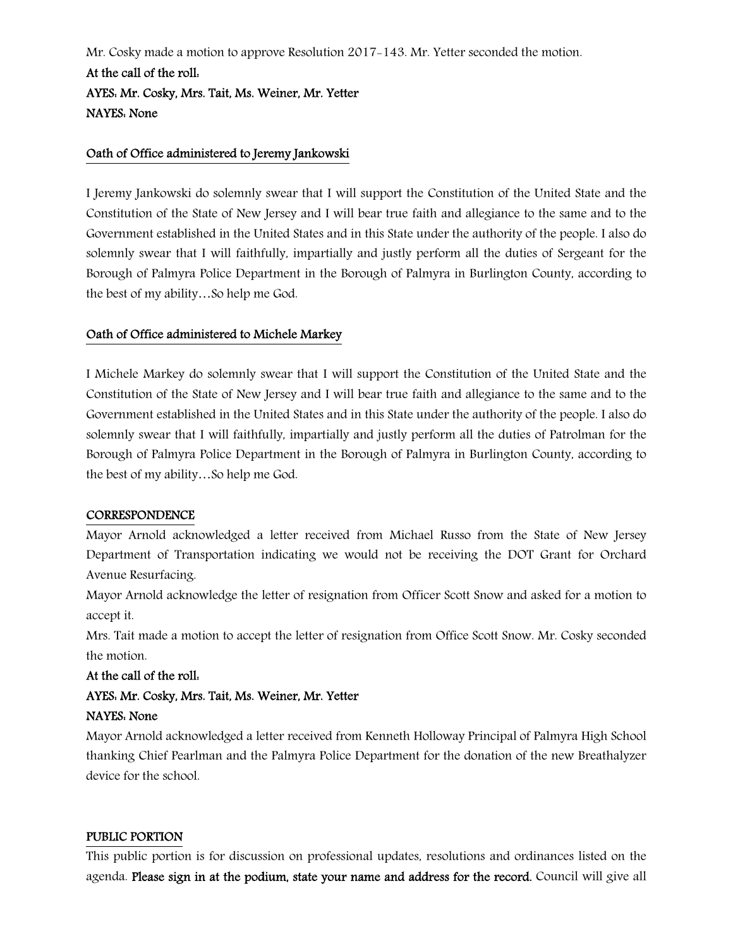Mr. Cosky made a motion to approve Resolution 2017-143. Mr. Yetter seconded the motion. At the call of the roll: AYES: Mr. Cosky, Mrs. Tait, Ms. Weiner, Mr. Yetter NAYES: None

#### Oath of Office administered to Jeremy Jankowski

I Jeremy Jankowski do solemnly swear that I will support the Constitution of the United State and the Constitution of the State of New Jersey and I will bear true faith and allegiance to the same and to the Government established in the United States and in this State under the authority of the people. I also do solemnly swear that I will faithfully, impartially and justly perform all the duties of Sergeant for the Borough of Palmyra Police Department in the Borough of Palmyra in Burlington County, according to the best of my ability…So help me God.

## Oath of Office administered to Michele Markey

I Michele Markey do solemnly swear that I will support the Constitution of the United State and the Constitution of the State of New Jersey and I will bear true faith and allegiance to the same and to the Government established in the United States and in this State under the authority of the people. I also do solemnly swear that I will faithfully, impartially and justly perform all the duties of Patrolman for the Borough of Palmyra Police Department in the Borough of Palmyra in Burlington County, according to the best of my ability…So help me God.

#### **CORRESPONDENCE**

Mayor Arnold acknowledged a letter received from Michael Russo from the State of New Jersey Department of Transportation indicating we would not be receiving the DOT Grant for Orchard Avenue Resurfacing.

Mayor Arnold acknowledge the letter of resignation from Officer Scott Snow and asked for a motion to accept it.

Mrs. Tait made a motion to accept the letter of resignation from Office Scott Snow. Mr. Cosky seconded the motion.

#### At the call of the roll:

# AYES: Mr. Cosky, Mrs. Tait, Ms. Weiner, Mr. Yetter

## NAYES: None

Mayor Arnold acknowledged a letter received from Kenneth Holloway Principal of Palmyra High School thanking Chief Pearlman and the Palmyra Police Department for the donation of the new Breathalyzer device for the school.

#### PUBLIC PORTION

This public portion is for discussion on professional updates, resolutions and ordinances listed on the agenda. Please sign in at the podium, state your name and address for the record. Council will give all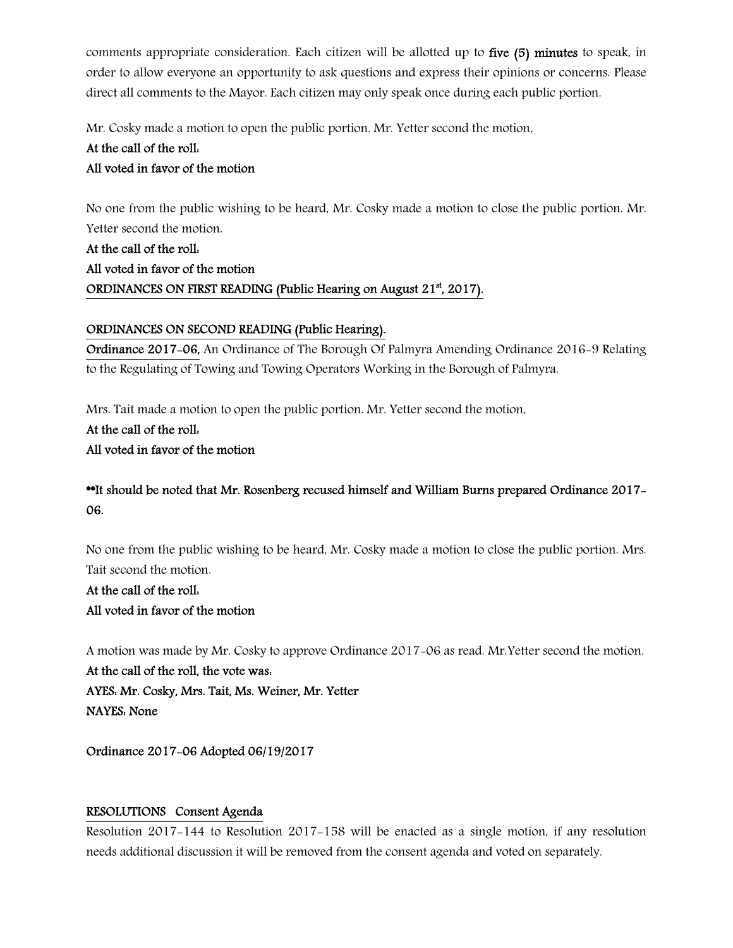comments appropriate consideration. Each citizen will be allotted up to five (5) minutes to speak, in order to allow everyone an opportunity to ask questions and express their opinions or concerns. Please direct all comments to the Mayor. Each citizen may only speak once during each public portion.

Mr. Cosky made a motion to open the public portion. Mr. Yetter second the motion.

# At the call of the roll: All voted in favor of the motion

No one from the public wishing to be heard, Mr. Cosky made a motion to close the public portion. Mr. Yetter second the motion.

At the call of the roll: All voted in favor of the motion ORDINANCES ON FIRST READING (Public Hearing on August 21<sup>st</sup>, 2017).

## ORDINANCES ON SECOND READING (Public Hearing).

Ordinance 2017-06, An Ordinance of The Borough Of Palmyra Amending Ordinance 2016-9 Relating to the Regulating of Towing and Towing Operators Working in the Borough of Palmyra.

Mrs. Tait made a motion to open the public portion. Mr. Yetter second the motion.

At the call of the roll: All voted in favor of the motion

## \*\*It should be noted that Mr. Rosenberg recused himself and William Burns prepared Ordinance 2017- 06.

No one from the public wishing to be heard, Mr. Cosky made a motion to close the public portion. Mrs. Tait second the motion.

At the call of the roll: All voted in favor of the motion

A motion was made by Mr. Cosky to approve Ordinance 2017-06 as read. Mr.Yetter second the motion.

At the call of the roll, the vote was: AYES: Mr. Cosky, Mrs. Tait, Ms. Weiner, Mr. Yetter NAYES: None

Ordinance 2017-06 Adopted 06/19/2017

## RESOLUTIONS Consent Agenda

Resolution 2017-144 to Resolution 2017-158 will be enacted as a single motion, if any resolution needs additional discussion it will be removed from the consent agenda and voted on separately.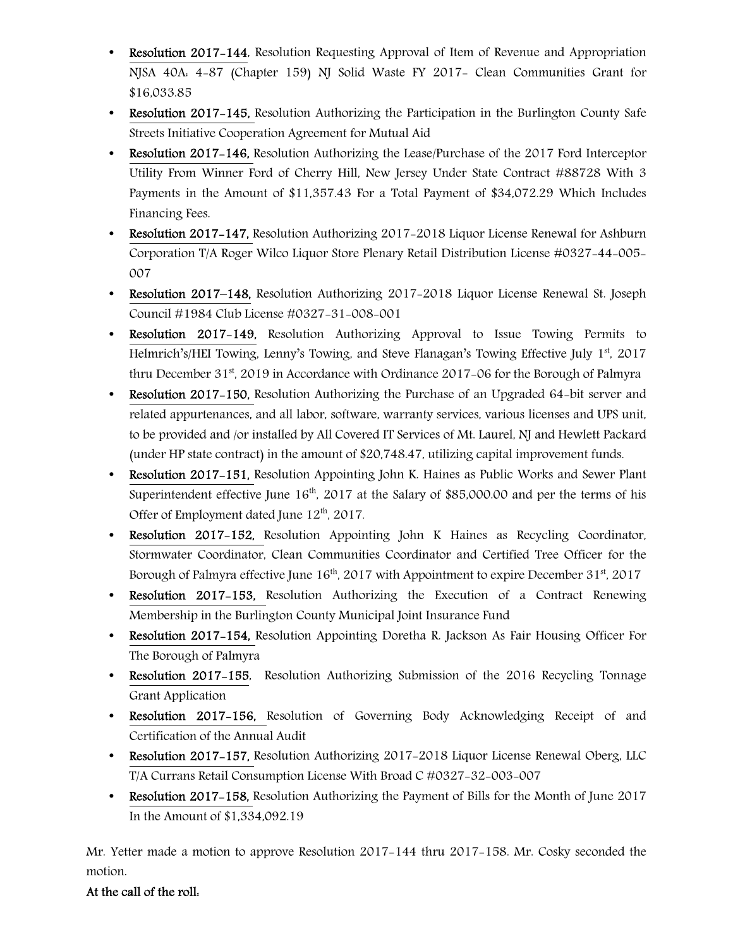- Resolution 2017-144, Resolution Requesting Approval of Item of Revenue and Appropriation NJSA 40A: 4-87 (Chapter 159) NJ Solid Waste FY 2017- Clean Communities Grant for \$16,033.85
- Resolution 2017-145, Resolution Authorizing the Participation in the Burlington County Safe Streets Initiative Cooperation Agreement for Mutual Aid
- Resolution 2017–146, Resolution Authorizing the Lease/Purchase of the 2017 Ford Interceptor Utility From Winner Ford of Cherry Hill, New Jersey Under State Contract #88728 With 3 Payments in the Amount of \$11,357.43 For a Total Payment of \$34,072.29 Which Includes Financing Fees.
- Resolution 2017-147, Resolution Authorizing 2017-2018 Liquor License Renewal for Ashburn Corporation T/A Roger Wilco Liquor Store Plenary Retail Distribution License #0327-44-005- 007
- Resolution 2017–148, Resolution Authorizing 2017-2018 Liquor License Renewal St. Joseph Council #1984 Club License #0327-31-008-001
- Resolution 2017-149, Resolution Authorizing Approval to Issue Towing Permits to Helmrich's/HEI Towing, Lenny's Towing, and Steve Flanagan's Towing Effective July  $1<sup>st</sup>$ , 2017 thru December  $31<sup>st</sup>$ , 2019 in Accordance with Ordinance 2017-06 for the Borough of Palmyra
- Resolution 2017–150, Resolution Authorizing the Purchase of an Upgraded 64-bit server and related appurtenances, and all labor, software, warranty services, various licenses and UPS unit, to be provided and /or installed by All Covered IT Services of Mt. Laurel, NJ and Hewlett Packard (under HP state contract) in the amount of \$20,748.47, utilizing capital improvement funds.
- Resolution 2017-151, Resolution Appointing John K. Haines as Public Works and Sewer Plant Superintendent effective June  $16<sup>th</sup>$ , 2017 at the Salary of \$85,000.00 and per the terms of his Offer of Employment dated June  $12<sup>th</sup>$ , 2017.
- Resolution 2017–152, Resolution Appointing John K Haines as Recycling Coordinator, Stormwater Coordinator, Clean Communities Coordinator and Certified Tree Officer for the Borough of Palmyra effective June  $16<sup>th</sup>$ , 2017 with Appointment to expire December 31<sup>st</sup>, 2017
- Resolution 2017–153, Resolution Authorizing the Execution of a Contract Renewing Membership in the Burlington County Municipal Joint Insurance Fund
- Resolution 2017–154, Resolution Appointing Doretha R. Jackson As Fair Housing Officer For The Borough of Palmyra
- Resolution 2017–155, Resolution Authorizing Submission of the 2016 Recycling Tonnage Grant Application
- Resolution 2017-156, Resolution of Governing Body Acknowledging Receipt of and Certification of the Annual Audit
- Resolution 2017–157, Resolution Authorizing 2017–2018 Liquor License Renewal Oberg, LLC T/A Currans Retail Consumption License With Broad C #0327-32-003-007
- Resolution 2017–158, Resolution Authorizing the Payment of Bills for the Month of June 2017 In the Amount of \$1,334,092.19

Mr. Yetter made a motion to approve Resolution 2017-144 thru 2017-158. Mr. Cosky seconded the motion.

## At the call of the roll: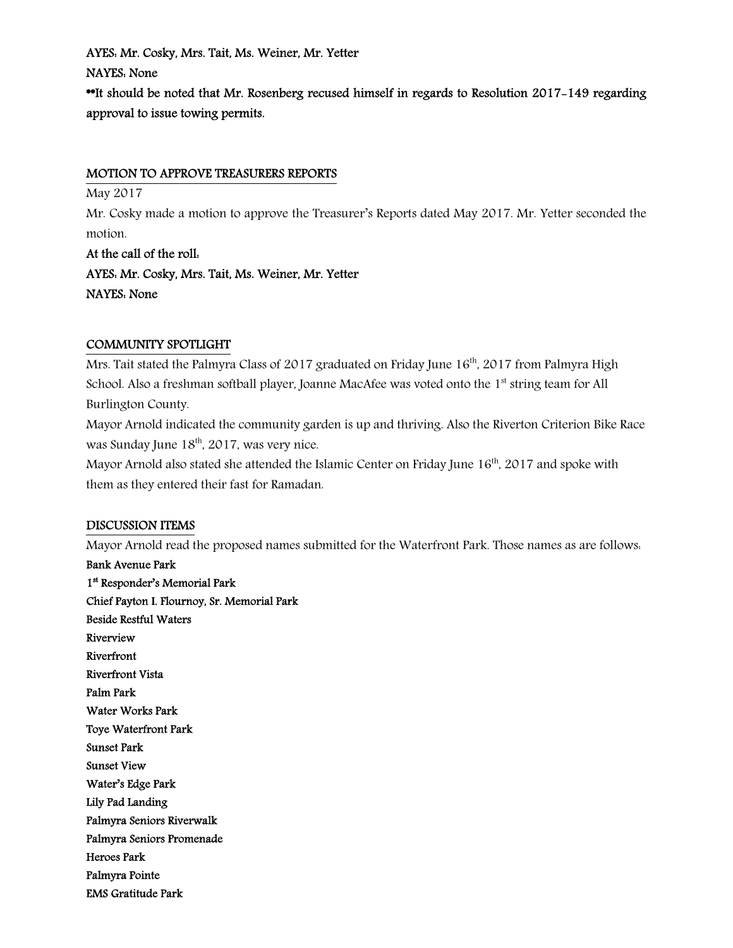AYES: Mr. Cosky, Mrs. Tait, Ms. Weiner, Mr. Yetter NAYES: None \*It should be noted that Mr. Rosenberg recused himself in regards to Resolution 2017-149 regarding approval to issue towing permits.

#### MOTION TO APPROVE TREASURERS REPORTS

May 2017

Mr. Cosky made a motion to approve the Treasurer's Reports dated May 2017. Mr. Yetter seconded the motion.

At the call of the roll: AYES: Mr. Cosky, Mrs. Tait, Ms. Weiner, Mr. Yetter NAYES: None

#### COMMUNITY SPOTLIGHT

Mrs. Tait stated the Palmyra Class of 2017 graduated on Friday June 16<sup>th</sup>, 2017 from Palmyra High School. Also a freshman softball player, Joanne MacAfee was voted onto the 1<sup>st</sup> string team for All Burlington County.

Mayor Arnold indicated the community garden is up and thriving. Also the Riverton Criterion Bike Race was Sunday June  $18<sup>th</sup>$ , 2017, was very nice.

Mayor Arnold also stated she attended the Islamic Center on Friday June  $16<sup>th</sup>$ , 2017 and spoke with them as they entered their fast for Ramadan.

#### DISCUSSION ITEMS

Mayor Arnold read the proposed names submitted for the Waterfront Park. Those names as are follows: Bank Avenue Park 1 st Responder's Memorial Park Chief Payton I. Flournoy, Sr. Memorial Park Beside Restful Waters Riverview Riverfront Riverfront Vista Palm Park Water Works Park Toye Waterfront Park

Palmyra Pointe EMS Gratitude Park

Water's Edge Park Lily Pad Landing

Palmyra Seniors Riverwalk Palmyra Seniors Promenade

Sunset Park Sunset View

Heroes Park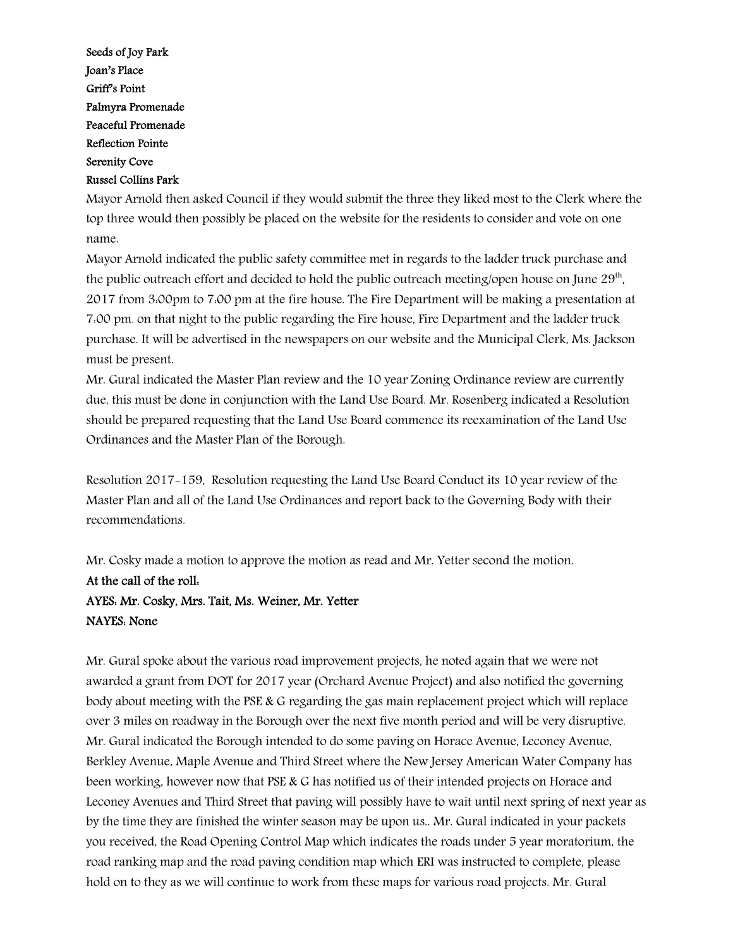Seeds of Joy Park Joan's Place Griff's Point Palmyra Promenade Peaceful Promenade Reflection Pointe Serenity Cove Russel Collins Park

Mayor Arnold then asked Council if they would submit the three they liked most to the Clerk where the top three would then possibly be placed on the website for the residents to consider and vote on one name.

Mayor Arnold indicated the public safety committee met in regards to the ladder truck purchase and the public outreach effort and decided to hold the public outreach meeting/open house on June 29 $^{\rm th}$ , 2017 from 3:00pm to 7:00 pm at the fire house. The Fire Department will be making a presentation at 7:00 pm. on that night to the public regarding the Fire house, Fire Department and the ladder truck purchase. It will be advertised in the newspapers on our website and the Municipal Clerk, Ms. Jackson must be present.

Mr. Gural indicated the Master Plan review and the 10 year Zoning Ordinance review are currently due, this must be done in conjunction with the Land Use Board. Mr. Rosenberg indicated a Resolution should be prepared requesting that the Land Use Board commence its reexamination of the Land Use Ordinances and the Master Plan of the Borough.

Resolution 2017-159, Resolution requesting the Land Use Board Conduct its 10 year review of the Master Plan and all of the Land Use Ordinances and report back to the Governing Body with their recommendations.

Mr. Cosky made a motion to approve the motion as read and Mr. Yetter second the motion. At the call of the roll: AYES: Mr. Cosky, Mrs. Tait, Ms. Weiner, Mr. Yetter NAYES: None

Mr. Gural spoke about the various road improvement projects, he noted again that we were not awarded a grant from DOT for 2017 year (Orchard Avenue Project) and also notified the governing body about meeting with the PSE & G regarding the gas main replacement project which will replace over 3 miles on roadway in the Borough over the next five month period and will be very disruptive. Mr. Gural indicated the Borough intended to do some paving on Horace Avenue, Leconey Avenue, Berkley Avenue, Maple Avenue and Third Street where the New Jersey American Water Company has been working, however now that PSE & G has notified us of their intended projects on Horace and Leconey Avenues and Third Street that paving will possibly have to wait until next spring of next year as by the time they are finished the winter season may be upon us.. Mr. Gural indicated in your packets you received, the Road Opening Control Map which indicates the roads under 5 year moratorium, the road ranking map and the road paving condition map which ERI was instructed to complete, please hold on to they as we will continue to work from these maps for various road projects. Mr. Gural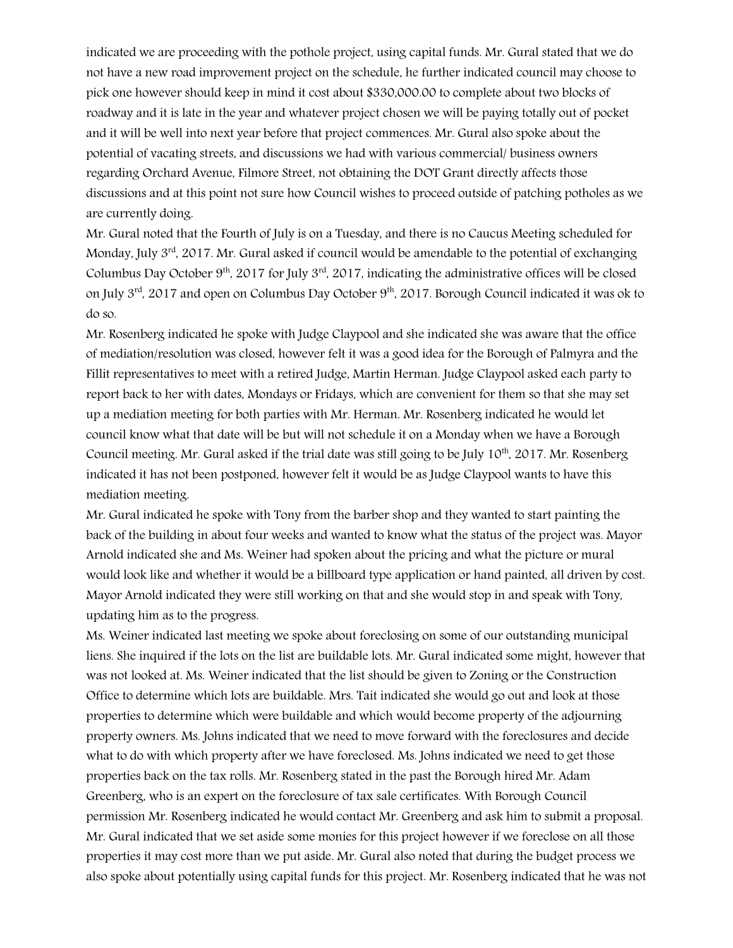indicated we are proceeding with the pothole project, using capital funds. Mr. Gural stated that we do not have a new road improvement project on the schedule, he further indicated council may choose to pick one however should keep in mind it cost about \$330,000.00 to complete about two blocks of roadway and it is late in the year and whatever project chosen we will be paying totally out of pocket and it will be well into next year before that project commences. Mr. Gural also spoke about the potential of vacating streets, and discussions we had with various commercial/ business owners regarding Orchard Avenue, Filmore Street, not obtaining the DOT Grant directly affects those discussions and at this point not sure how Council wishes to proceed outside of patching potholes as we are currently doing.

Mr. Gural noted that the Fourth of July is on a Tuesday, and there is no Caucus Meeting scheduled for Monday, July  $3<sup>rd</sup>$ , 2017. Mr. Gural asked if council would be amendable to the potential of exchanging Columbus Day October  $9<sup>th</sup>$ , 2017 for July  $3<sup>rd</sup>$ , 2017, indicating the administrative offices will be closed on July 3<sup>rd</sup>, 2017 and open on Columbus Day October 9<sup>th</sup>, 2017. Borough Council indicated it was ok to do so.

Mr. Rosenberg indicated he spoke with Judge Claypool and she indicated she was aware that the office of mediation/resolution was closed, however felt it was a good idea for the Borough of Palmyra and the Fillit representatives to meet with a retired Judge, Martin Herman. Judge Claypool asked each party to report back to her with dates, Mondays or Fridays, which are convenient for them so that she may set up a mediation meeting for both parties with Mr. Herman. Mr. Rosenberg indicated he would let council know what that date will be but will not schedule it on a Monday when we have a Borough Council meeting. Mr. Gural asked if the trial date was still going to be July 10<sup>th</sup>, 2017. Mr. Rosenberg indicated it has not been postponed, however felt it would be as Judge Claypool wants to have this mediation meeting.

Mr. Gural indicated he spoke with Tony from the barber shop and they wanted to start painting the back of the building in about four weeks and wanted to know what the status of the project was. Mayor Arnold indicated she and Ms. Weiner had spoken about the pricing and what the picture or mural would look like and whether it would be a billboard type application or hand painted, all driven by cost. Mayor Arnold indicated they were still working on that and she would stop in and speak with Tony, updating him as to the progress.

Ms. Weiner indicated last meeting we spoke about foreclosing on some of our outstanding municipal liens. She inquired if the lots on the list are buildable lots. Mr. Gural indicated some might, however that was not looked at. Ms. Weiner indicated that the list should be given to Zoning or the Construction Office to determine which lots are buildable. Mrs. Tait indicated she would go out and look at those properties to determine which were buildable and which would become property of the adjourning property owners. Ms. Johns indicated that we need to move forward with the foreclosures and decide what to do with which property after we have foreclosed. Ms. Johns indicated we need to get those properties back on the tax rolls. Mr. Rosenberg stated in the past the Borough hired Mr. Adam Greenberg, who is an expert on the foreclosure of tax sale certificates. With Borough Council permission Mr. Rosenberg indicated he would contact Mr. Greenberg and ask him to submit a proposal. Mr. Gural indicated that we set aside some monies for this project however if we foreclose on all those properties it may cost more than we put aside. Mr. Gural also noted that during the budget process we also spoke about potentially using capital funds for this project. Mr. Rosenberg indicated that he was not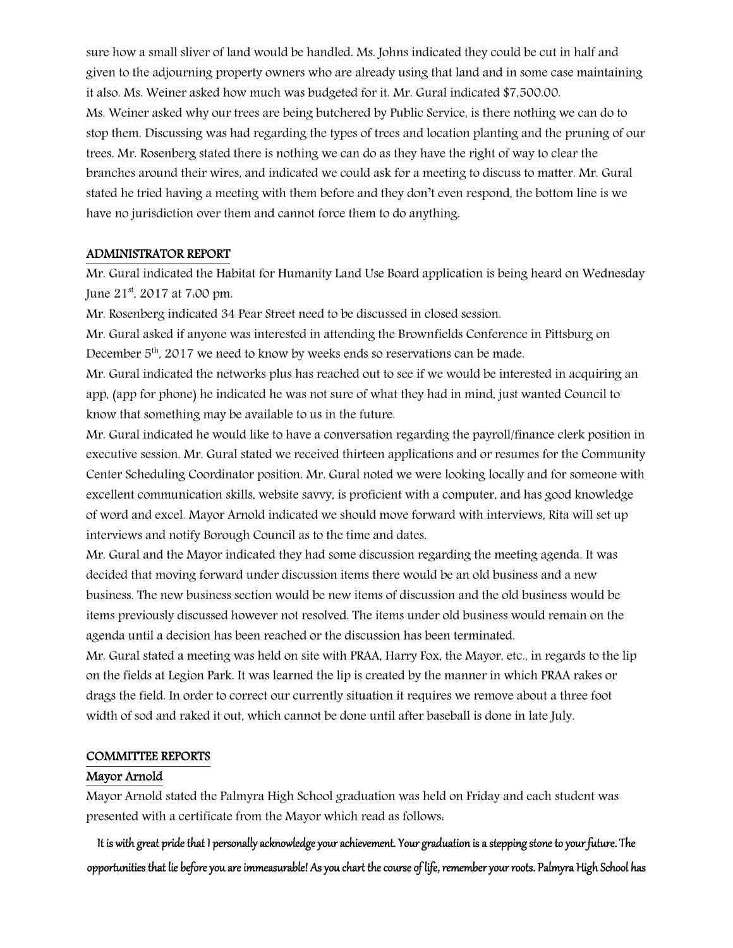sure how a small sliver of land would be handled. Ms. Johns indicated they could be cut in half and given to the adjourning property owners who are already using that land and in some case maintaining it also. Ms. Weiner asked how much was budgeted for it. Mr. Gural indicated \$7,500.00. Ms. Weiner asked why our trees are being butchered by Public Service, is there nothing we can do to stop them. Discussing was had regarding the types of trees and location planting and the pruning of our trees. Mr. Rosenberg stated there is nothing we can do as they have the right of way to clear the branches around their wires, and indicated we could ask for a meeting to discuss to matter. Mr. Gural stated he tried having a meeting with them before and they don't even respond, the bottom line is we have no jurisdiction over them and cannot force them to do anything.

#### ADMINISTRATOR REPORT

Mr. Gural indicated the Habitat for Humanity Land Use Board application is being heard on Wednesday June 21st, 2017 at 7:00 pm.

Mr. Rosenberg indicated 34 Pear Street need to be discussed in closed session.

Mr. Gural asked if anyone was interested in attending the Brownfields Conference in Pittsburg on December  $5<sup>th</sup>$ , 2017 we need to know by weeks ends so reservations can be made.

Mr. Gural indicated the networks plus has reached out to see if we would be interested in acquiring an app, (app for phone) he indicated he was not sure of what they had in mind, just wanted Council to know that something may be available to us in the future.

Mr. Gural indicated he would like to have a conversation regarding the payroll/finance clerk position in executive session. Mr. Gural stated we received thirteen applications and or resumes for the Community Center Scheduling Coordinator position. Mr. Gural noted we were looking locally and for someone with excellent communication skills, website savvy, is proficient with a computer, and has good knowledge of word and excel. Mayor Arnold indicated we should move forward with interviews, Rita will set up interviews and notify Borough Council as to the time and dates.

Mr. Gural and the Mayor indicated they had some discussion regarding the meeting agenda. It was decided that moving forward under discussion items there would be an old business and a new business. The new business section would be new items of discussion and the old business would be items previously discussed however not resolved. The items under old business would remain on the agenda until a decision has been reached or the discussion has been terminated.

Mr. Gural stated a meeting was held on site with PRAA, Harry Fox, the Mayor, etc., in regards to the lip on the fields at Legion Park. It was learned the lip is created by the manner in which PRAA rakes or drags the field. In order to correct our currently situation it requires we remove about a three foot width of sod and raked it out, which cannot be done until after baseball is done in late July.

#### COMMITTEE REPORTS

#### Mayor Arnold

Mayor Arnold stated the Palmyra High School graduation was held on Friday and each student was presented with a certificate from the Mayor which read as follows:

It is with great pride that I personally acknowledge your achievement. Your graduation is a stepping stone to your future. The opportunities that lie before you are immeasurable! As you chart the course of life, remember your roots. Palmyra High School has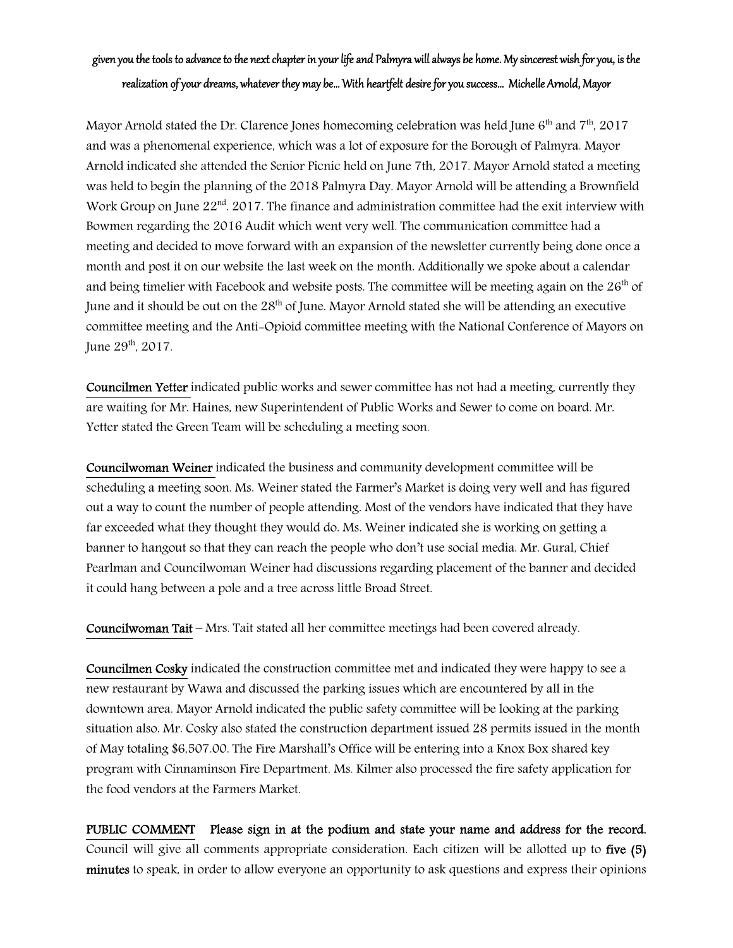# given you the tools to advance to the next chapter in your life and Palmyra will always be home. My sincerest wish for you, is the realization of your dreams, whatever they may be… With heartfelt desire for you success… Michelle Arnold, Mayor

Mayor Arnold stated the Dr. Clarence Jones homecoming celebration was held June  $6<sup>th</sup>$  and  $7<sup>th</sup>$ , 2017 and was a phenomenal experience, which was a lot of exposure for the Borough of Palmyra. Mayor Arnold indicated she attended the Senior Picnic held on June 7th, 2017. Mayor Arnold stated a meeting was held to begin the planning of the 2018 Palmyra Day. Mayor Arnold will be attending a Brownfield Work Group on June 22<sup>nd</sup>. 2017. The finance and administration committee had the exit interview with Bowmen regarding the 2016 Audit which went very well. The communication committee had a meeting and decided to move forward with an expansion of the newsletter currently being done once a month and post it on our website the last week on the month. Additionally we spoke about a calendar and being timelier with Facebook and website posts. The committee will be meeting again on the  $26<sup>th</sup>$  of June and it should be out on the 28<sup>th</sup> of June. Mayor Arnold stated she will be attending an executive committee meeting and the Anti-Opioid committee meeting with the National Conference of Mayors on June 29<sup>th</sup>, 2017.

Councilmen Yetter indicated public works and sewer committee has not had a meeting, currently they are waiting for Mr. Haines, new Superintendent of Public Works and Sewer to come on board. Mr. Yetter stated the Green Team will be scheduling a meeting soon.

Councilwoman Weiner indicated the business and community development committee will be scheduling a meeting soon. Ms. Weiner stated the Farmer's Market is doing very well and has figured out a way to count the number of people attending. Most of the vendors have indicated that they have far exceeded what they thought they would do. Ms. Weiner indicated she is working on getting a banner to hangout so that they can reach the people who don't use social media. Mr. Gural, Chief Pearlman and Councilwoman Weiner had discussions regarding placement of the banner and decided it could hang between a pole and a tree across little Broad Street.

Councilwoman Tait – Mrs. Tait stated all her committee meetings had been covered already.

Councilmen Cosky indicated the construction committee met and indicated they were happy to see a new restaurant by Wawa and discussed the parking issues which are encountered by all in the downtown area. Mayor Arnold indicated the public safety committee will be looking at the parking situation also. Mr. Cosky also stated the construction department issued 28 permits issued in the month of May totaling \$6,507.00. The Fire Marshall's Office will be entering into a Knox Box shared key program with Cinnaminson Fire Department. Ms. Kilmer also processed the fire safety application for the food vendors at the Farmers Market.

PUBLIC COMMENT Please sign in at the podium and state your name and address for the record. Council will give all comments appropriate consideration. Each citizen will be allotted up to five (5) minutes to speak, in order to allow everyone an opportunity to ask questions and express their opinions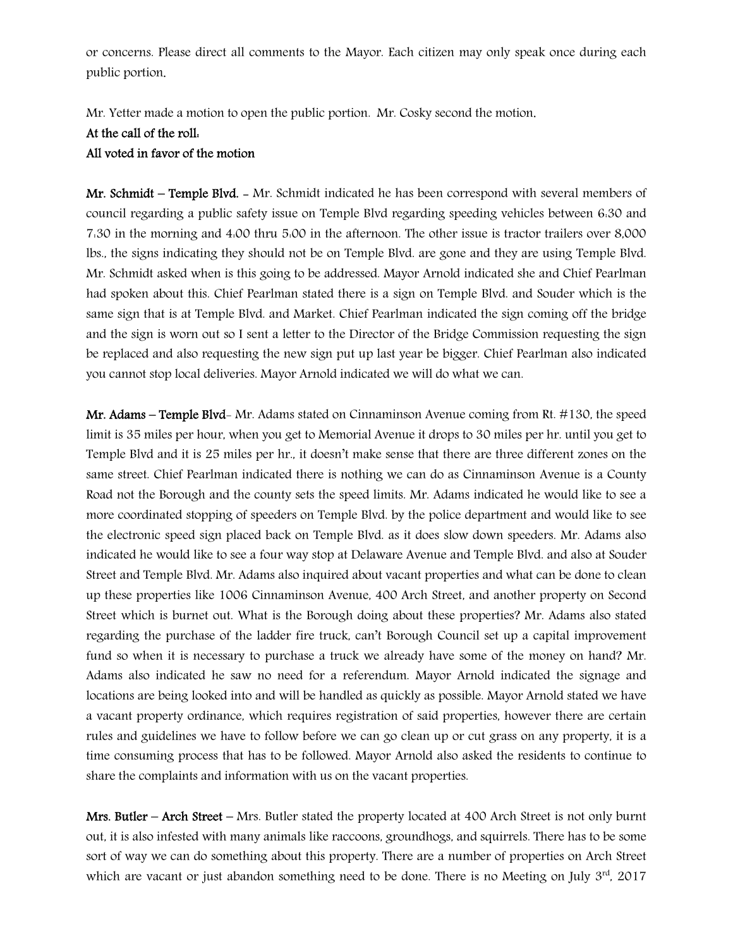or concerns. Please direct all comments to the Mayor. Each citizen may only speak once during each public portion.

Mr. Yetter made a motion to open the public portion. Mr. Cosky second the motion.

At the call of the roll:

## All voted in favor of the motion

Mr. Schmidt – Temple Blvd. - Mr. Schmidt indicated he has been correspond with several members of council regarding a public safety issue on Temple Blvd regarding speeding vehicles between 6:30 and 7:30 in the morning and 4:00 thru 5:00 in the afternoon. The other issue is tractor trailers over 8,000 lbs., the signs indicating they should not be on Temple Blvd. are gone and they are using Temple Blvd. Mr. Schmidt asked when is this going to be addressed. Mayor Arnold indicated she and Chief Pearlman had spoken about this. Chief Pearlman stated there is a sign on Temple Blvd. and Souder which is the same sign that is at Temple Blvd. and Market. Chief Pearlman indicated the sign coming off the bridge and the sign is worn out so I sent a letter to the Director of the Bridge Commission requesting the sign be replaced and also requesting the new sign put up last year be bigger. Chief Pearlman also indicated you cannot stop local deliveries. Mayor Arnold indicated we will do what we can.

Mr. Adams – Temple Blvd- Mr. Adams stated on Cinnaminson Avenue coming from Rt. #130, the speed limit is 35 miles per hour, when you get to Memorial Avenue it drops to 30 miles per hr. until you get to Temple Blvd and it is 25 miles per hr., it doesn't make sense that there are three different zones on the same street. Chief Pearlman indicated there is nothing we can do as Cinnaminson Avenue is a County Road not the Borough and the county sets the speed limits. Mr. Adams indicated he would like to see a more coordinated stopping of speeders on Temple Blvd. by the police department and would like to see the electronic speed sign placed back on Temple Blvd. as it does slow down speeders. Mr. Adams also indicated he would like to see a four way stop at Delaware Avenue and Temple Blvd. and also at Souder Street and Temple Blvd. Mr. Adams also inquired about vacant properties and what can be done to clean up these properties like 1006 Cinnaminson Avenue, 400 Arch Street, and another property on Second Street which is burnet out. What is the Borough doing about these properties? Mr. Adams also stated regarding the purchase of the ladder fire truck, can't Borough Council set up a capital improvement fund so when it is necessary to purchase a truck we already have some of the money on hand? Mr. Adams also indicated he saw no need for a referendum. Mayor Arnold indicated the signage and locations are being looked into and will be handled as quickly as possible. Mayor Arnold stated we have a vacant property ordinance, which requires registration of said properties, however there are certain rules and guidelines we have to follow before we can go clean up or cut grass on any property, it is a time consuming process that has to be followed. Mayor Arnold also asked the residents to continue to share the complaints and information with us on the vacant properties.

Mrs. Butler – Arch Street – Mrs. Butler stated the property located at 400 Arch Street is not only burnt out, it is also infested with many animals like raccoons, groundhogs, and squirrels. There has to be some sort of way we can do something about this property. There are a number of properties on Arch Street which are vacant or just abandon something need to be done. There is no Meeting on July  $3<sup>rd</sup>$ , 2017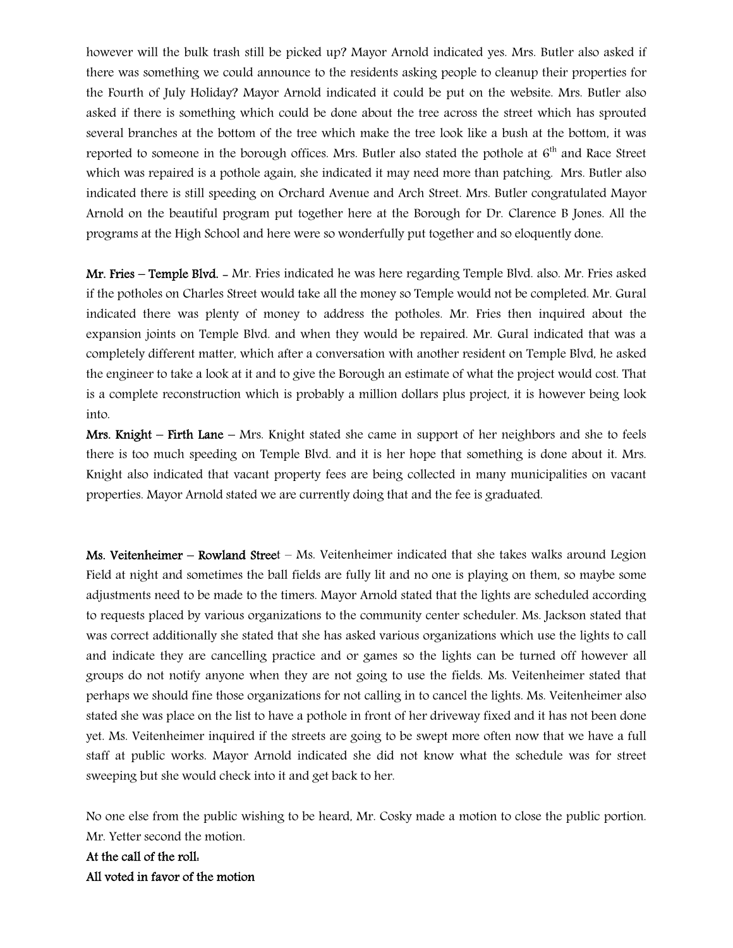however will the bulk trash still be picked up? Mayor Arnold indicated yes. Mrs. Butler also asked if there was something we could announce to the residents asking people to cleanup their properties for the Fourth of July Holiday? Mayor Arnold indicated it could be put on the website. Mrs. Butler also asked if there is something which could be done about the tree across the street which has sprouted several branches at the bottom of the tree which make the tree look like a bush at the bottom, it was reported to someone in the borough offices. Mrs. Butler also stated the pothole at 6<sup>th</sup> and Race Street which was repaired is a pothole again, she indicated it may need more than patching. Mrs. Butler also indicated there is still speeding on Orchard Avenue and Arch Street. Mrs. Butler congratulated Mayor Arnold on the beautiful program put together here at the Borough for Dr. Clarence B Jones. All the programs at the High School and here were so wonderfully put together and so eloquently done.

Mr. Fries – Temple Blvd. - Mr. Fries indicated he was here regarding Temple Blvd. also. Mr. Fries asked if the potholes on Charles Street would take all the money so Temple would not be completed. Mr. Gural indicated there was plenty of money to address the potholes. Mr. Fries then inquired about the expansion joints on Temple Blvd. and when they would be repaired. Mr. Gural indicated that was a completely different matter, which after a conversation with another resident on Temple Blvd, he asked the engineer to take a look at it and to give the Borough an estimate of what the project would cost. That is a complete reconstruction which is probably a million dollars plus project, it is however being look into.

Mrs. Knight – Firth Lane – Mrs. Knight stated she came in support of her neighbors and she to feels there is too much speeding on Temple Blvd. and it is her hope that something is done about it. Mrs. Knight also indicated that vacant property fees are being collected in many municipalities on vacant properties. Mayor Arnold stated we are currently doing that and the fee is graduated.

Ms. Veitenheimer – Rowland Street – Ms. Veitenheimer indicated that she takes walks around Legion Field at night and sometimes the ball fields are fully lit and no one is playing on them, so maybe some adjustments need to be made to the timers. Mayor Arnold stated that the lights are scheduled according to requests placed by various organizations to the community center scheduler. Ms. Jackson stated that was correct additionally she stated that she has asked various organizations which use the lights to call and indicate they are cancelling practice and or games so the lights can be turned off however all groups do not notify anyone when they are not going to use the fields. Ms. Veitenheimer stated that perhaps we should fine those organizations for not calling in to cancel the lights. Ms. Veitenheimer also stated she was place on the list to have a pothole in front of her driveway fixed and it has not been done yet. Ms. Veitenheimer inquired if the streets are going to be swept more often now that we have a full staff at public works. Mayor Arnold indicated she did not know what the schedule was for street sweeping but she would check into it and get back to her.

No one else from the public wishing to be heard, Mr. Cosky made a motion to close the public portion. Mr. Yetter second the motion.

At the call of the roll: All voted in favor of the motion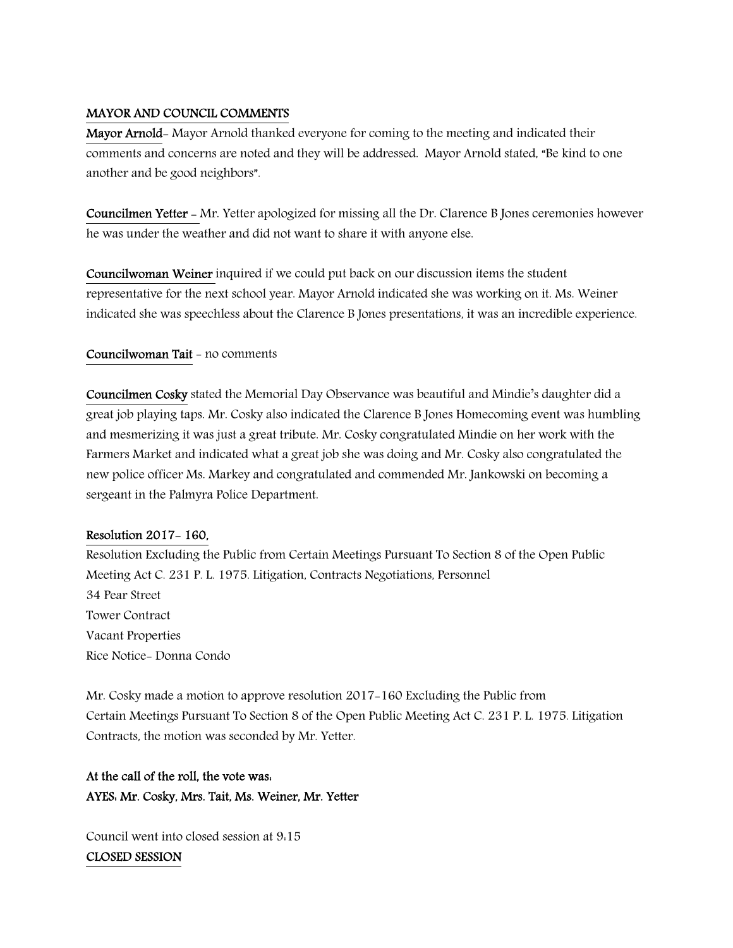## MAYOR AND COUNCIL COMMENTS

Mayor Arnold- Mayor Arnold thanked everyone for coming to the meeting and indicated their comments and concerns are noted and they will be addressed. Mayor Arnold stated, "Be kind to one another and be good neighbors".

Councilmen Yetter - Mr. Yetter apologized for missing all the Dr. Clarence B Jones ceremonies however he was under the weather and did not want to share it with anyone else.

Councilwoman Weiner inquired if we could put back on our discussion items the student representative for the next school year. Mayor Arnold indicated she was working on it. Ms. Weiner indicated she was speechless about the Clarence B Jones presentations, it was an incredible experience.

## Councilwoman Tait - no comments

Councilmen Cosky stated the Memorial Day Observance was beautiful and Mindie's daughter did a great job playing taps. Mr. Cosky also indicated the Clarence B Jones Homecoming event was humbling and mesmerizing it was just a great tribute. Mr. Cosky congratulated Mindie on her work with the Farmers Market and indicated what a great job she was doing and Mr. Cosky also congratulated the new police officer Ms. Markey and congratulated and commended Mr. Jankowski on becoming a sergeant in the Palmyra Police Department.

#### Resolution 2017- 160,

Resolution Excluding the Public from Certain Meetings Pursuant To Section 8 of the Open Public Meeting Act C. 231 P. L. 1975. Litigation, Contracts Negotiations, Personnel 34 Pear Street Tower Contract Vacant Properties Rice Notice- Donna Condo

Mr. Cosky made a motion to approve resolution 2017-160 Excluding the Public from Certain Meetings Pursuant To Section 8 of the Open Public Meeting Act C. 231 P. L. 1975. Litigation Contracts, the motion was seconded by Mr. Yetter.

## At the call of the roll, the vote was: AYES: Mr. Cosky, Mrs. Tait, Ms. Weiner, Mr. Yetter

Council went into closed session at 9:15

## CLOSED SESSION